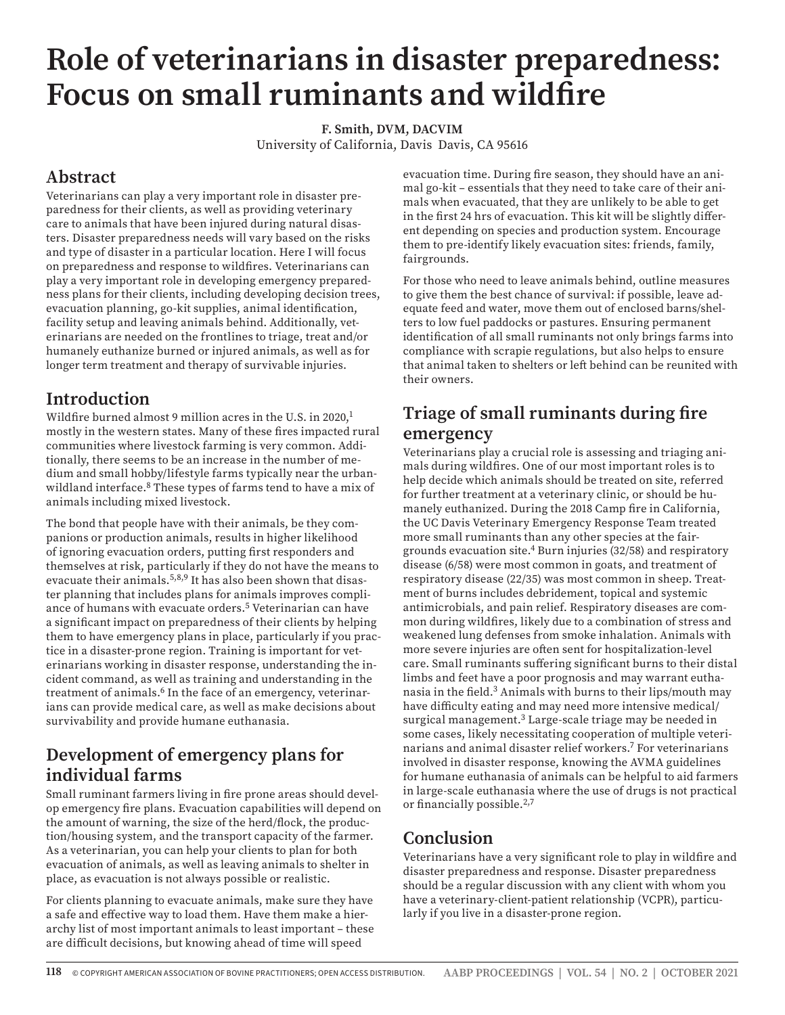# **Role of veterinarians in disaster preparedness: Focus on small ruminants and wildfire**

**F. Smith, DVM, DACVIM** University of California, Davis Davis, CA 95616

## **Abstract**

Veterinarians can play a very important role in disaster preparedness for their clients, as well as providing veterinary care to animals that have been injured during natural disasters. Disaster preparedness needs will vary based on the risks and type of disaster in a particular location. Here I will focus on preparedness and response to wildfires. Veterinarians can play a very important role in developing emergency preparedness plans for their clients, including developing decision trees, evacuation planning, go-kit supplies, animal identification, facility setup and leaving animals behind. Additionally, veterinarians are needed on the frontlines to triage, treat and/or humanely euthanize burned or injured animals, as well as for longer term treatment and therapy of survivable injuries.

## **Introduction**

Wildfire burned almost 9 million acres in the U.S. in 2020,<sup>1</sup> mostly in the western states. Many of these fires impacted rural communities where livestock farming is very common. Additionally, there seems to be an increase in the number of medium and small hobby/lifestyle farms typically near the urbanwildland interface.<sup>8</sup> These types of farms tend to have a mix of animals including mixed livestock.

The bond that people have with their animals, be they companions or production animals, results in higher likelihood of ignoring evacuation orders, putting first responders and themselves at risk, particularly if they do not have the means to evacuate their animals.<sup>5,8,9</sup> It has also been shown that disaster planning that includes plans for animals improves compliance of humans with evacuate orders.5 Veterinarian can have a significant impact on preparedness of their clients by helping them to have emergency plans in place, particularly if you practice in a disaster-prone region. Training is important for veterinarians working in disaster response, understanding the incident command, as well as training and understanding in the treatment of animals.<sup>6</sup> In the face of an emergency, veterinarians can provide medical care, as well as make decisions about survivability and provide humane euthanasia.

#### **Development of emergency plans for individual farms**

Small ruminant farmers living in fire prone areas should develop emergency fire plans. Evacuation capabilities will depend on the amount of warning, the size of the herd/flock, the production/housing system, and the transport capacity of the farmer. As a veterinarian, you can help your clients to plan for both evacuation of animals, as well as leaving animals to shelter in place, as evacuation is not always possible or realistic.

For clients planning to evacuate animals, make sure they have a safe and effective way to load them. Have them make a hierarchy list of most important animals to least important – these are difficult decisions, but knowing ahead of time will speed

evacuation time. During fire season, they should have an animal go-kit – essentials that they need to take care of their animals when evacuated, that they are unlikely to be able to get in the first 24 hrs of evacuation. This kit will be slightly different depending on species and production system. Encourage them to pre-identify likely evacuation sites: friends, family, fairgrounds.

For those who need to leave animals behind, outline measures to give them the best chance of survival: if possible, leave adequate feed and water, move them out of enclosed barns/shelters to low fuel paddocks or pastures. Ensuring permanent identification of all small ruminants not only brings farms into compliance with scrapie regulations, but also helps to ensure that animal taken to shelters or left behind can be reunited with their owners.

#### **Triage of small ruminants during fire emergency**

Veterinarians play a crucial role is assessing and triaging animals during wildfires. One of our most important roles is to help decide which animals should be treated on site, referred for further treatment at a veterinary clinic, or should be humanely euthanized. During the 2018 Camp fire in California, the UC Davis Veterinary Emergency Response Team treated more small ruminants than any other species at the fairgrounds evacuation site.4 Burn injuries (32/58) and respiratory disease (6/58) were most common in goats, and treatment of respiratory disease (22/35) was most common in sheep. Treatment of burns includes debridement, topical and systemic antimicrobials, and pain relief. Respiratory diseases are common during wildfires, likely due to a combination of stress and weakened lung defenses from smoke inhalation. Animals with more severe injuries are often sent for hospitalization-level care. Small ruminants suffering significant burns to their distal limbs and feet have a poor prognosis and may warrant euthanasia in the field.<sup>3</sup> Animals with burns to their lips/mouth may have difficulty eating and may need more intensive medical/ surgical management.<sup>3</sup> Large-scale triage may be needed in some cases, likely necessitating cooperation of multiple veterinarians and animal disaster relief workers.7 For veterinarians involved in disaster response, knowing the AVMA guidelines for humane euthanasia of animals can be helpful to aid farmers in large-scale euthanasia where the use of drugs is not practical or financially possible.<sup>2,7</sup>

### **Conclusion**

Veterinarians have a very significant role to play in wildfire and disaster preparedness and response. Disaster preparedness should be a regular discussion with any client with whom you have a veterinary-client-patient relationship (VCPR), particularly if you live in a disaster-prone region.